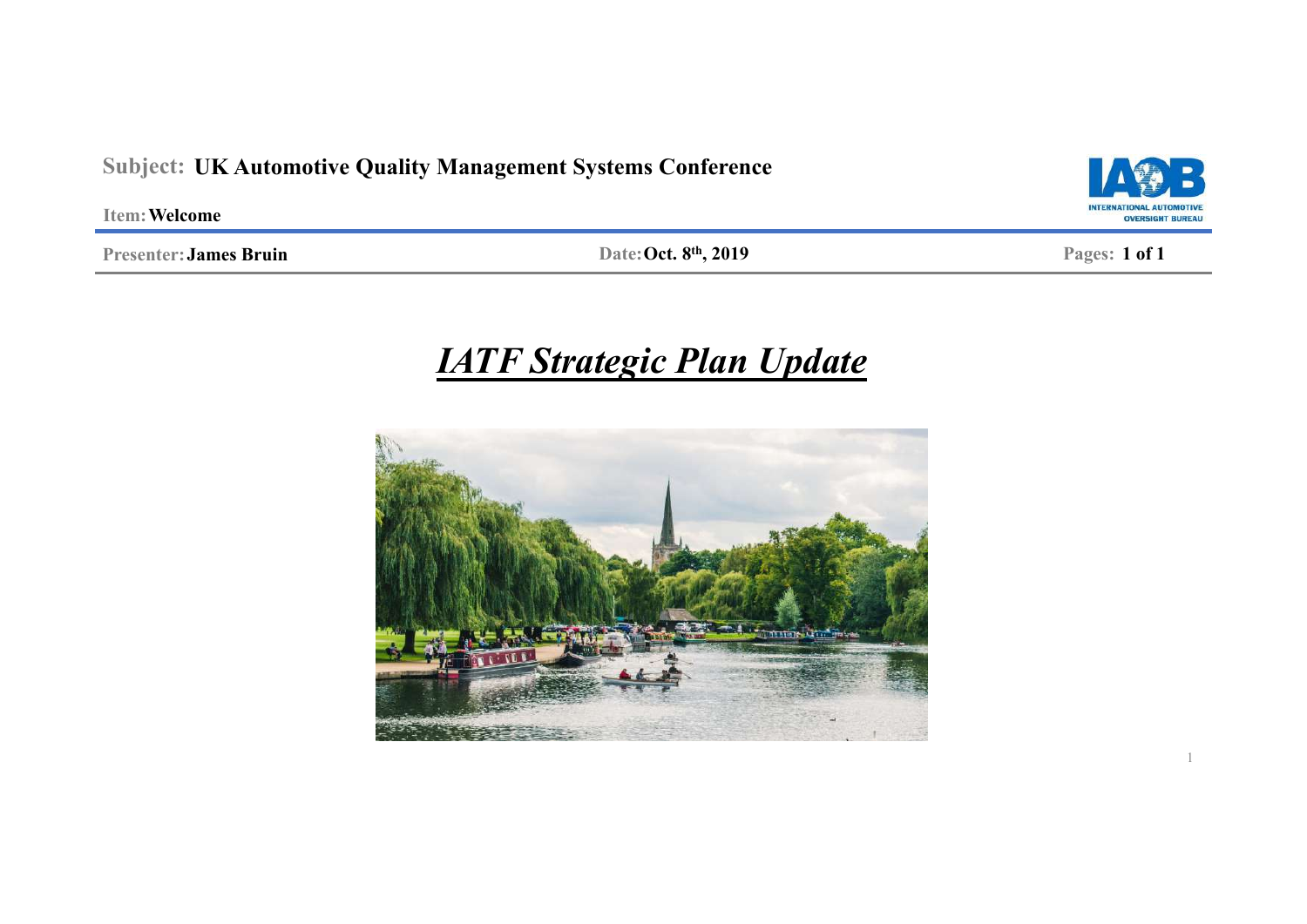### **Subject: UK Automotive Quality Management Systems Conference**

**Item: Welcome**

**Presenter:James Bruin**

**Pages: Date: Oct. 8 1 of 1 th, 2019**

# *IATF Strategic Plan Update*



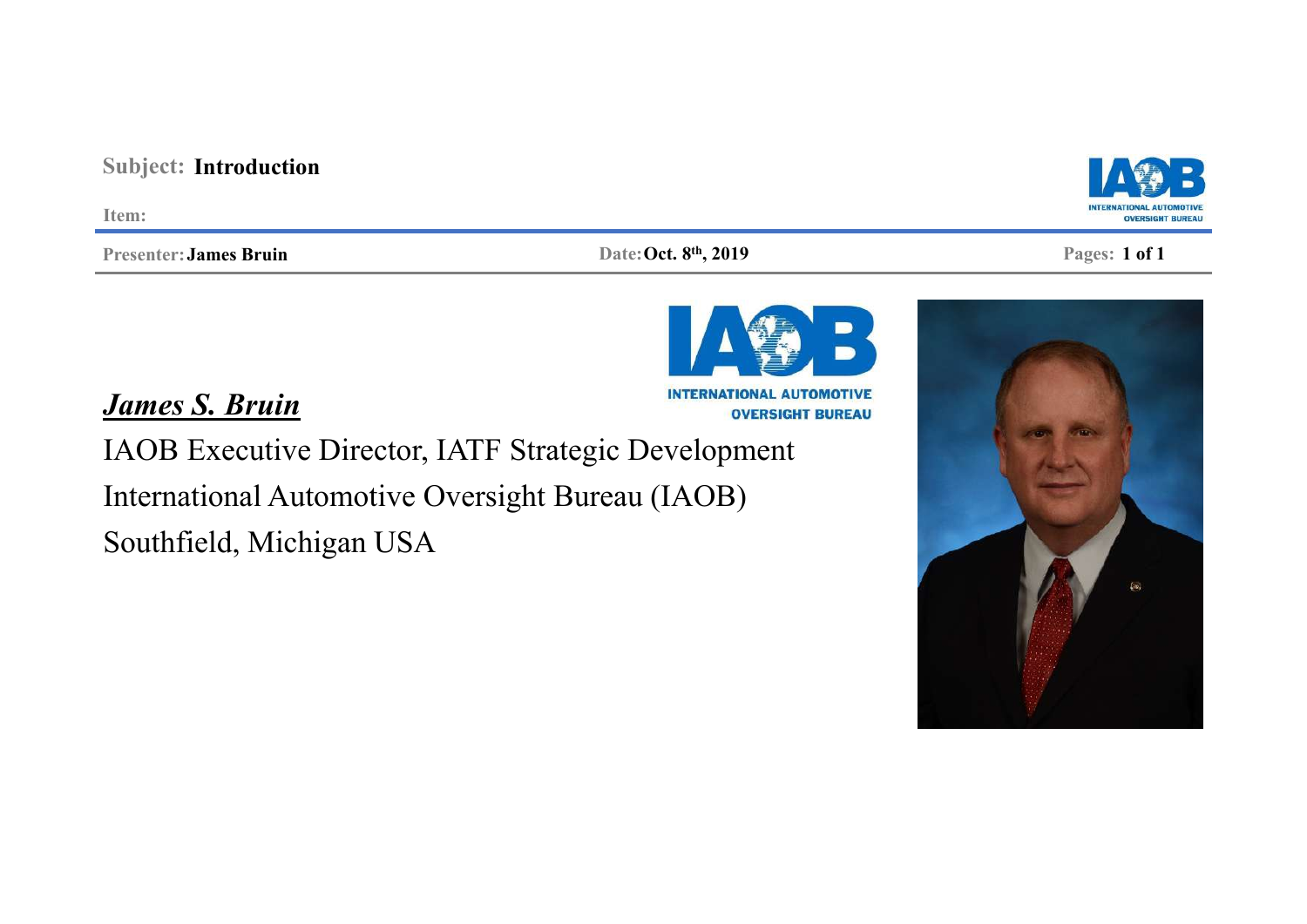## **Subject: Introduction**

**Item:**

**Presenter:James Bruin**

**Pages: Date: Oct. 8 1 of 1 th, 2019**

*James S. Bruin*

IAOB Executive Director, IATF Strategic Development International Automotive Oversight Bureau (IAOB) Southfield, Michigan USA





**INTERNATIONAL AUTOMOTIVE OVERSIGHT BUREAU**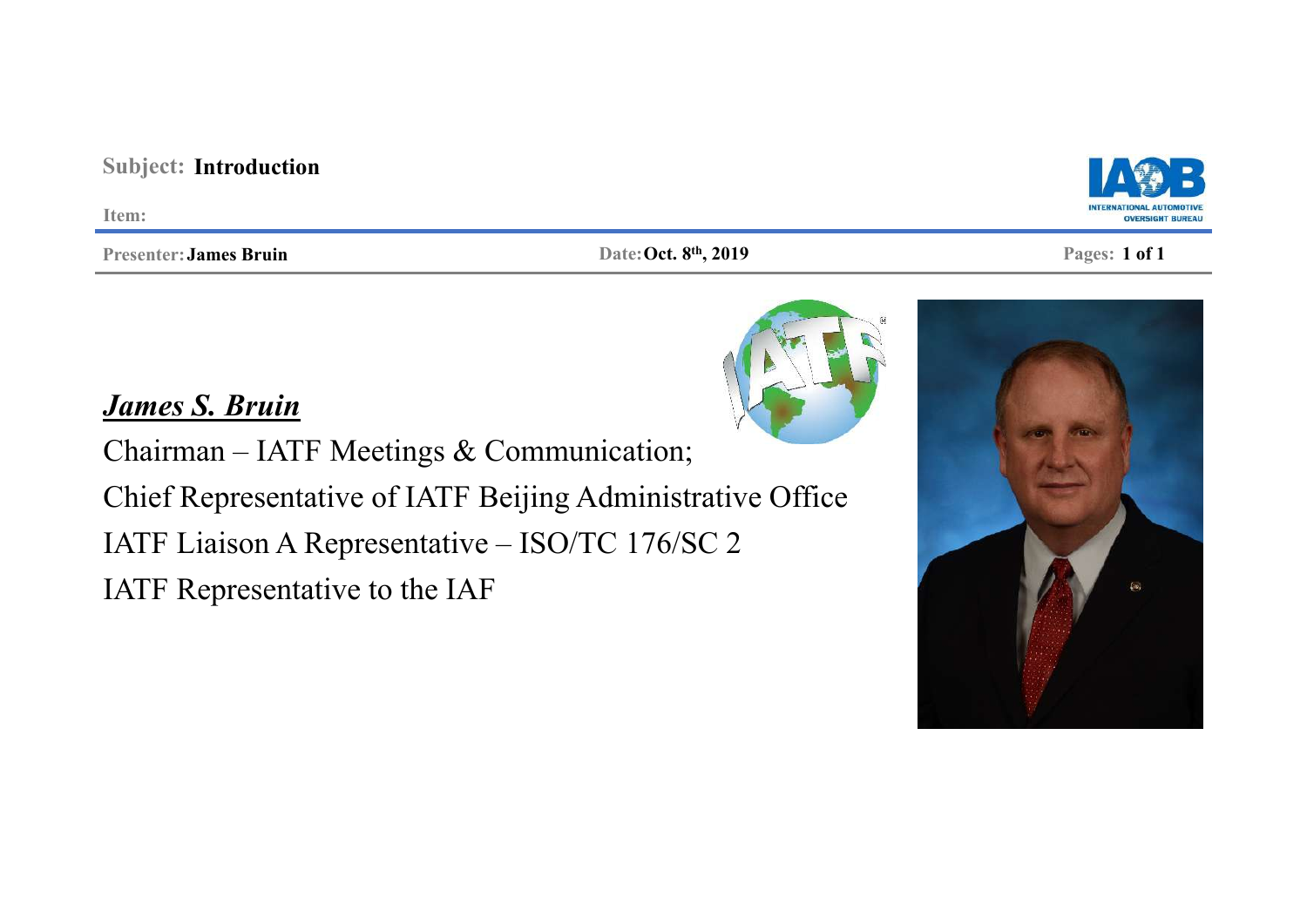#### **Subject: Introduction Item: OVERSIGHT BUREAL Pages: Date: Oct. 8 1 of 1 th, 2019Presenter:James Bruin**

## *James S. Bruin*

Chairman – IATF Meetings & Communication; Chief Representative of IATF Beijing Administrative Office IATF Liaison A Representative – ISO/TC 176/SC 2 IATF Representative to the IAF





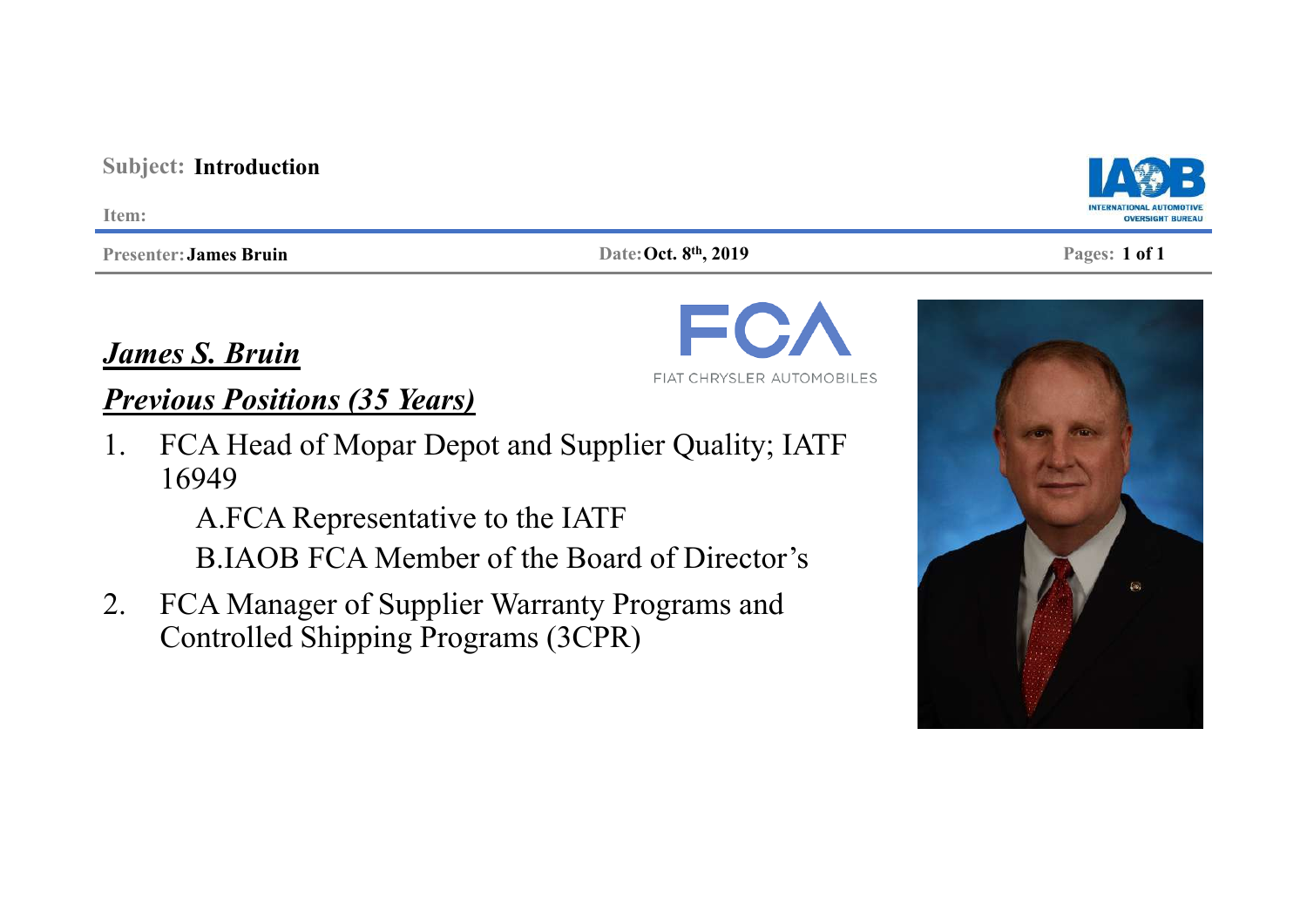### **Subject: Introduction**

**Item:**

**Presenter:James Bruin**

#### **Pages: Date: Oct. 8 1 of 1 th, 2019**

*James S. Bruin*

## *Previous Positions (35 Years)*

1. FCA Head of Mopar Depot and Supplier Quality; IATF 16949

A.FCA Representative to the IATF

B.IAOB FCA Member of the Board of Director's

2. FCA Manager of Supplier Warranty Programs and Controlled Shipping Programs (3CPR)







FIAT CHRYSLER AUTOMOBILES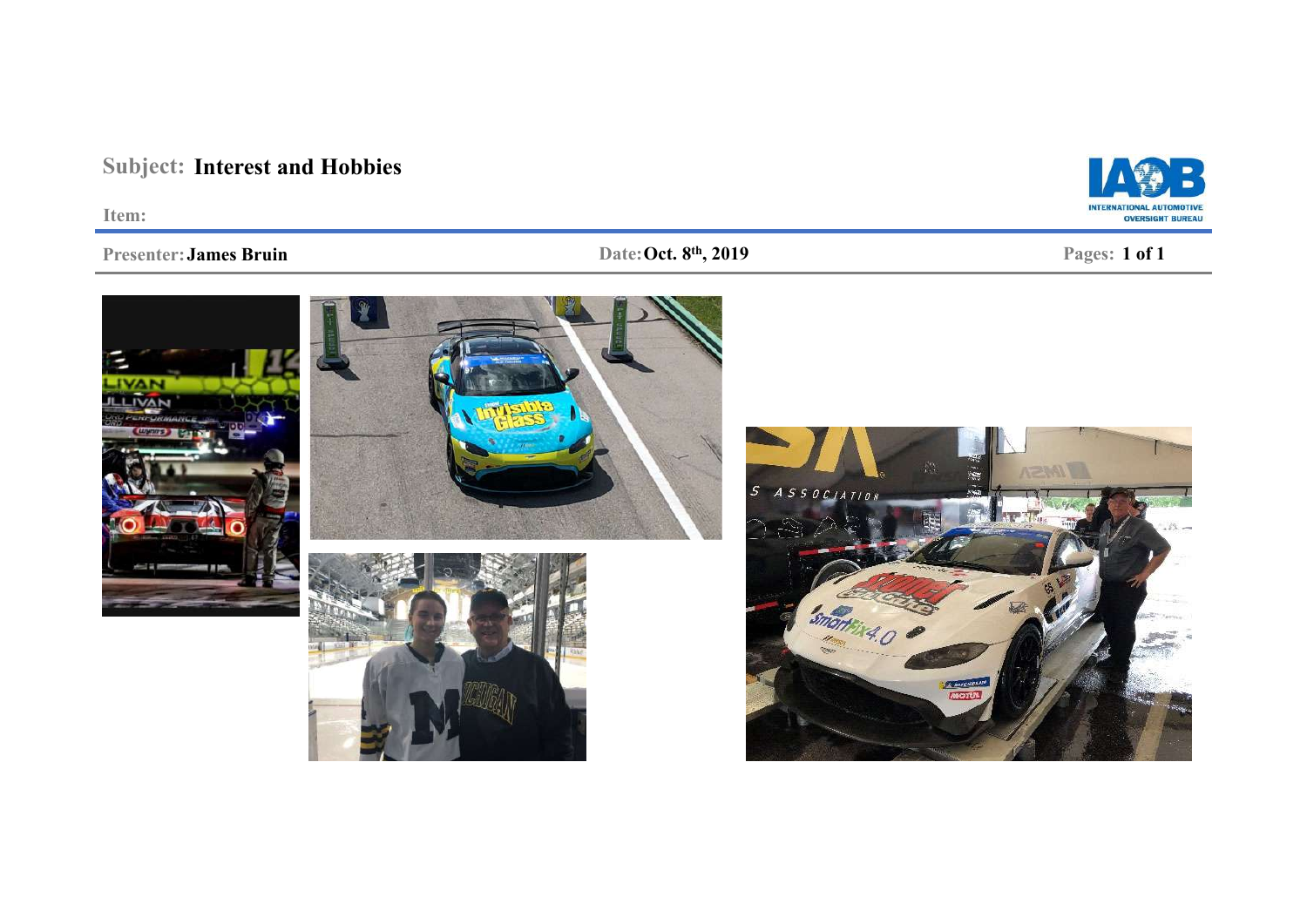## **Subject: Interest and Hobbies**

**Item:**

#### **Presenter:James Bruin**

#### **Pages: Date: Oct. 8 1 of 1 th, 2019**







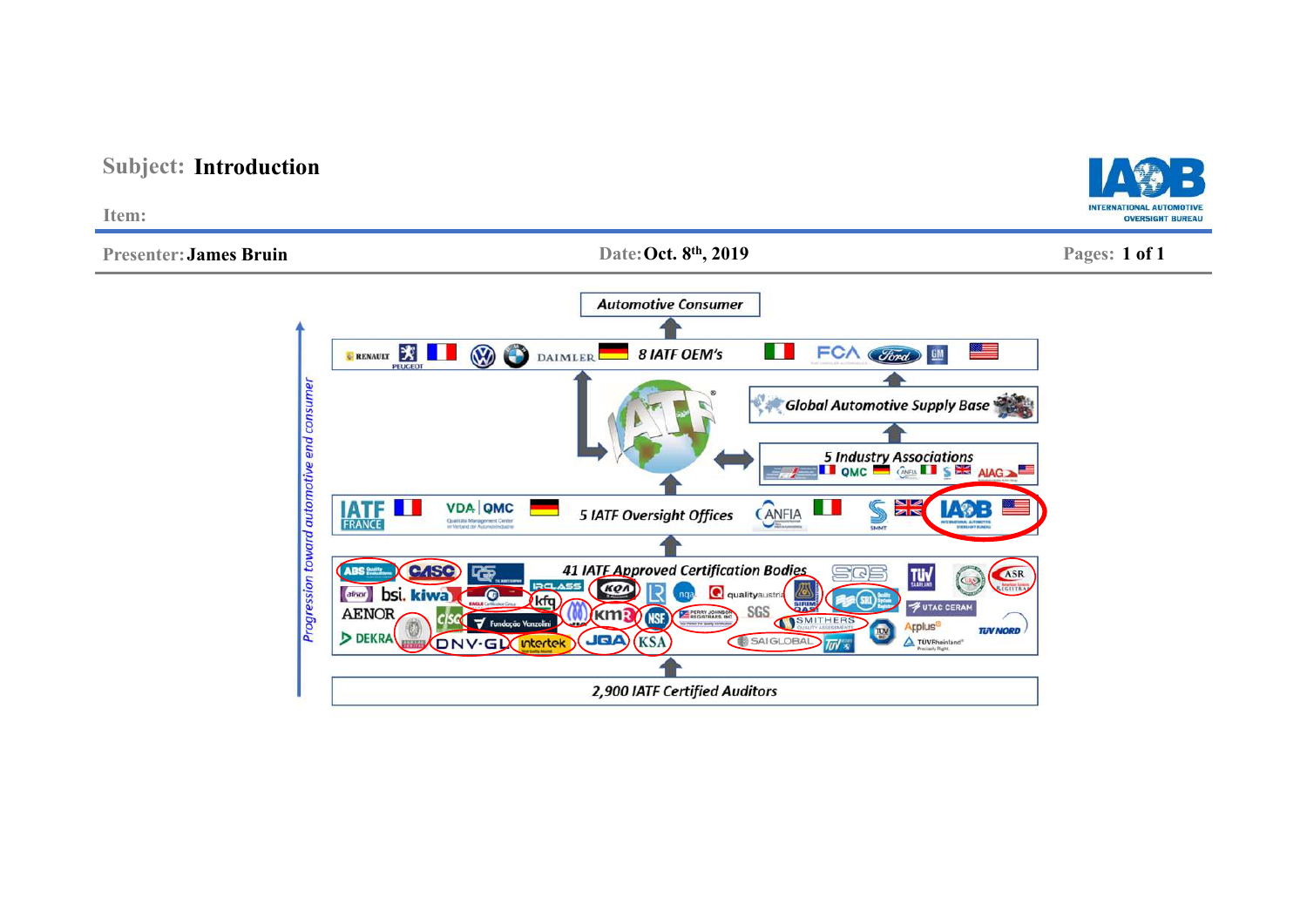

## **Subject: Introduction**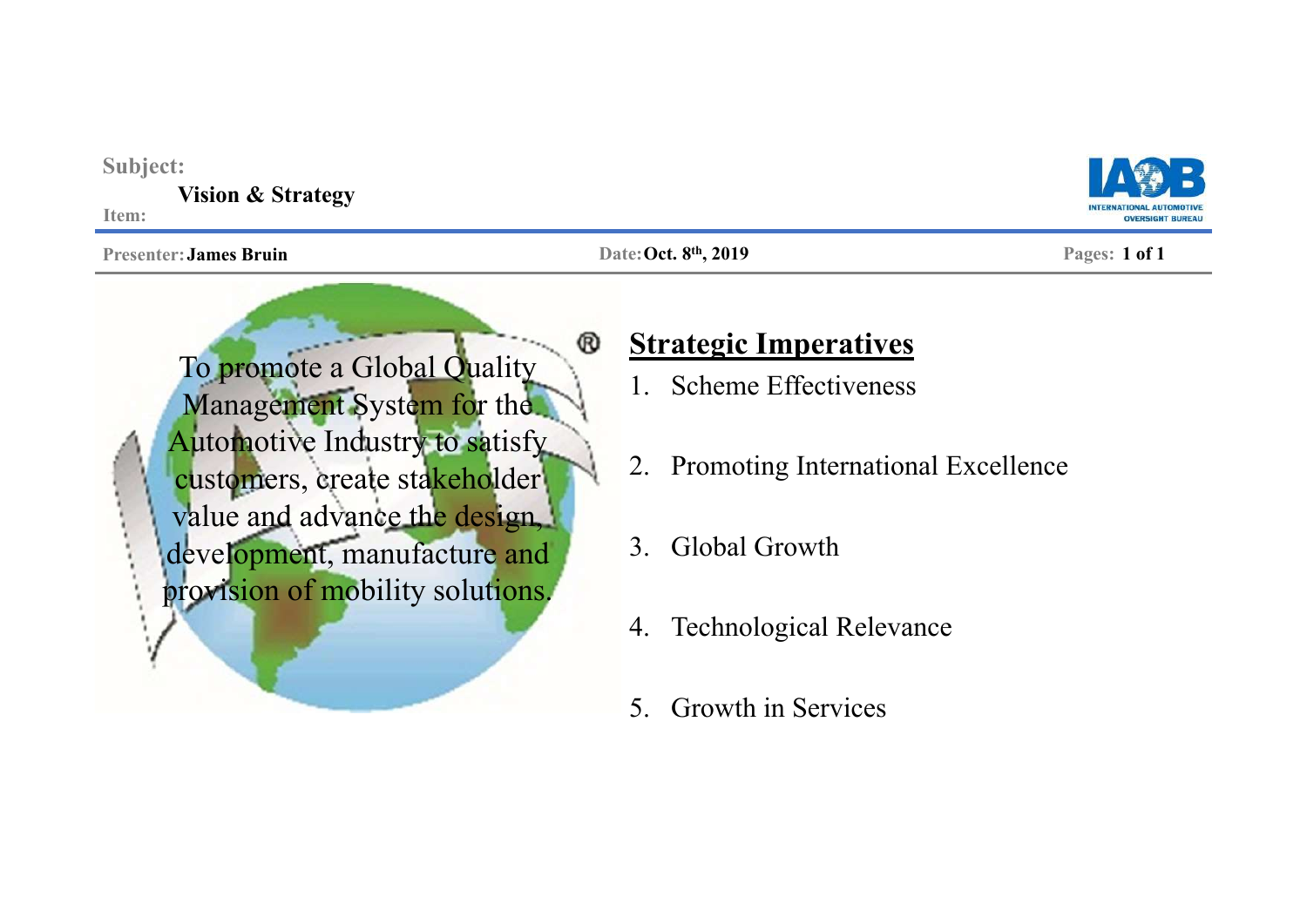| Subject:<br><b>Vision &amp; Strategy</b><br>Item:                                                                                                                                                                                            |                                                                                                                                                                                                                  | <b>OVERSIGHT</b> |
|----------------------------------------------------------------------------------------------------------------------------------------------------------------------------------------------------------------------------------------------|------------------------------------------------------------------------------------------------------------------------------------------------------------------------------------------------------------------|------------------|
| <b>Presenter: James Bruin</b>                                                                                                                                                                                                                | Date: Oct. 8th, 2019                                                                                                                                                                                             | Pages: 1 of 1    |
| ®<br>To promote a Global Quality<br>Management System for the<br><b>Automotive Industry to satisfy</b><br>customers, create stakeholder<br>value and advance the design,<br>development, manufacture and<br>provision of mobility solutions. | <b>Strategic Imperatives</b><br><b>Scheme Effectiveness</b><br>2. Promoting International Excellence<br>Global Growth<br>$3_{1}$<br><b>Technological Relevance</b><br>4.<br><b>Growth in Services</b><br>$5_{-}$ |                  |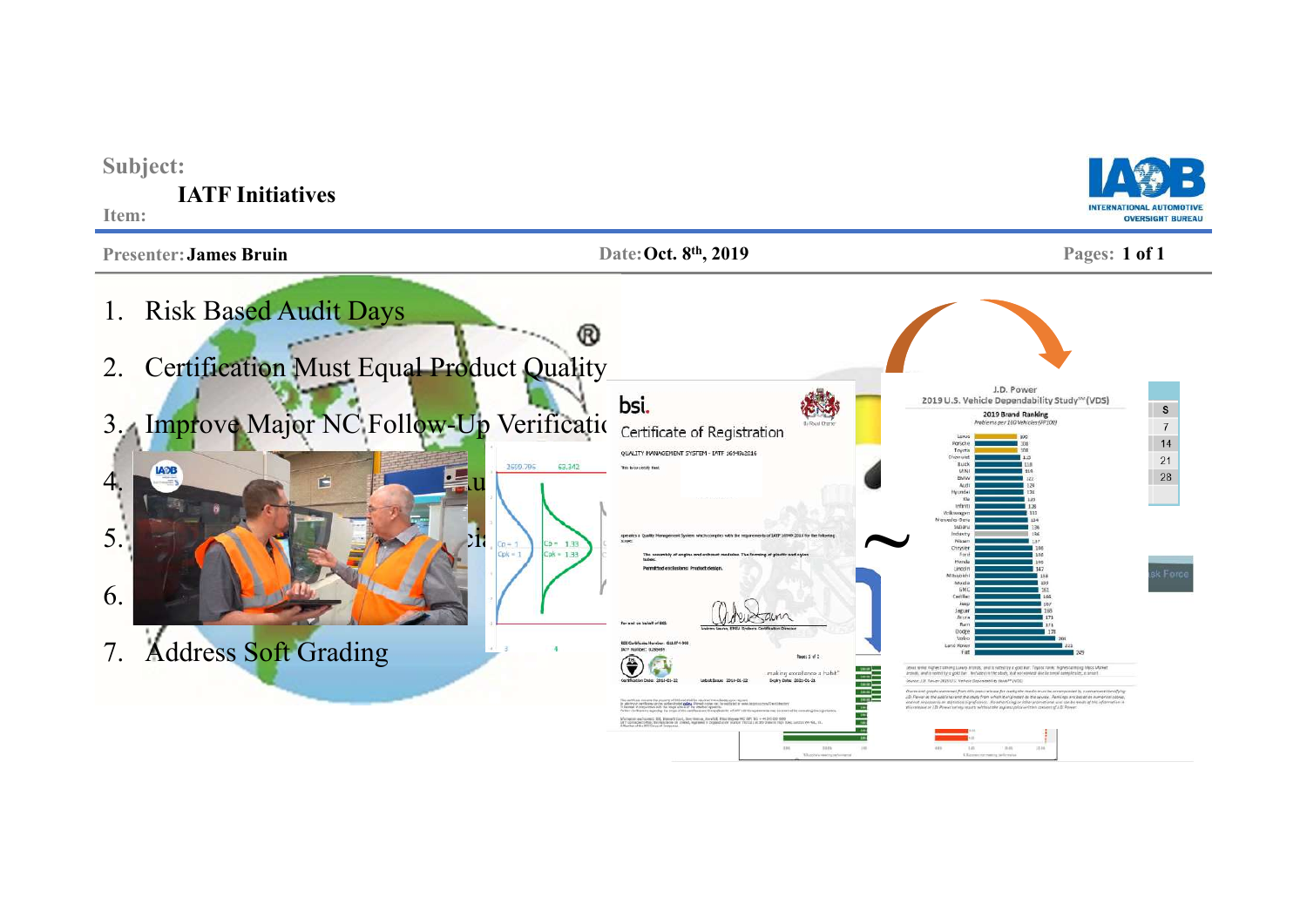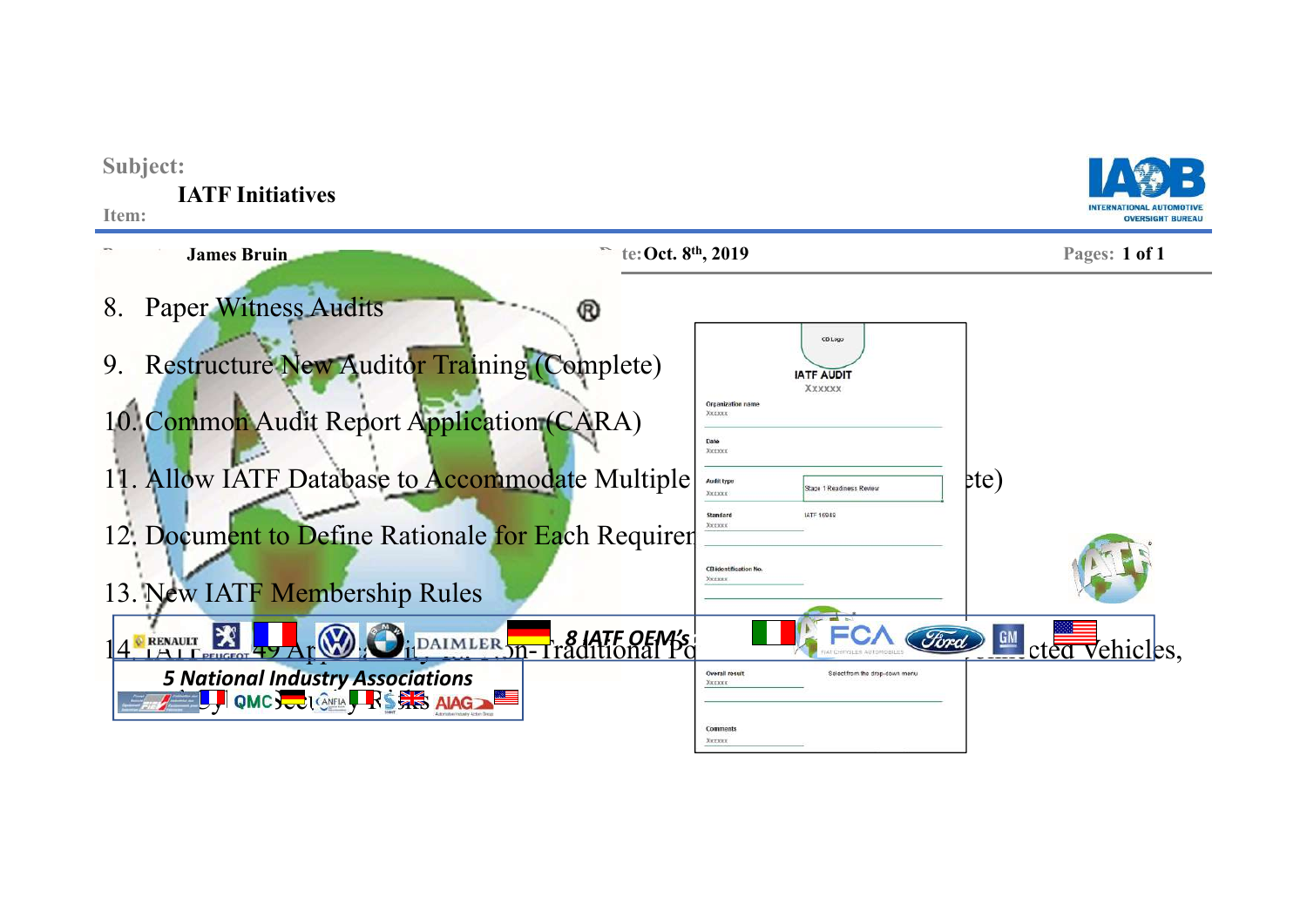| Subject:<br><b>IATF</b> Initiatives<br>Item:                                                                                                                                                                                                         |                                                                                                                                                                                      | <b>OVERSIGHT BUREAL</b>  |
|------------------------------------------------------------------------------------------------------------------------------------------------------------------------------------------------------------------------------------------------------|--------------------------------------------------------------------------------------------------------------------------------------------------------------------------------------|--------------------------|
| <b>James Bruin</b>                                                                                                                                                                                                                                   | te: Oct. 8 <sup>th</sup> , 2019                                                                                                                                                      | Pages: 1 of 1            |
| <b>Paper Witness Audits</b><br>8.<br><b>Restructure New Auditor Training (Complete)</b><br>9.<br>10. Common Audit Report Application (CARA)<br>11. Allow IATF Database to Accommodate Multiple<br>12. Document to Define Rationale for Each Requirer | ®<br>CB Logo<br><b>IATF AUDIT</b><br>XXXXXX<br>Organization name<br>XXXXXX<br>Date<br>XXXXXX<br>Audit type<br>Stage 1 Readiness Review<br>XXXXXX<br>Standard<br>IATF 15949<br>XXXXXX | ete)                     |
| 13. New IATF Membership Rules                                                                                                                                                                                                                        | <b>CB identification No</b><br>Xxxxxx                                                                                                                                                |                          |
| $ \mathbf{X} $<br>RENAULT 24<br>5 National Industry Associations<br>2 <b>U.P.</b> QMC SCOLERS FRS FRS AIAG2                                                                                                                                          | DAIMLER Jn-Traditional B<br>Overall result<br>Select from the drop-down menu<br>XXXXXX                                                                                               | Ford CHE CLEAN Vehicles, |
|                                                                                                                                                                                                                                                      | Comments<br>XXXXXX                                                                                                                                                                   |                          |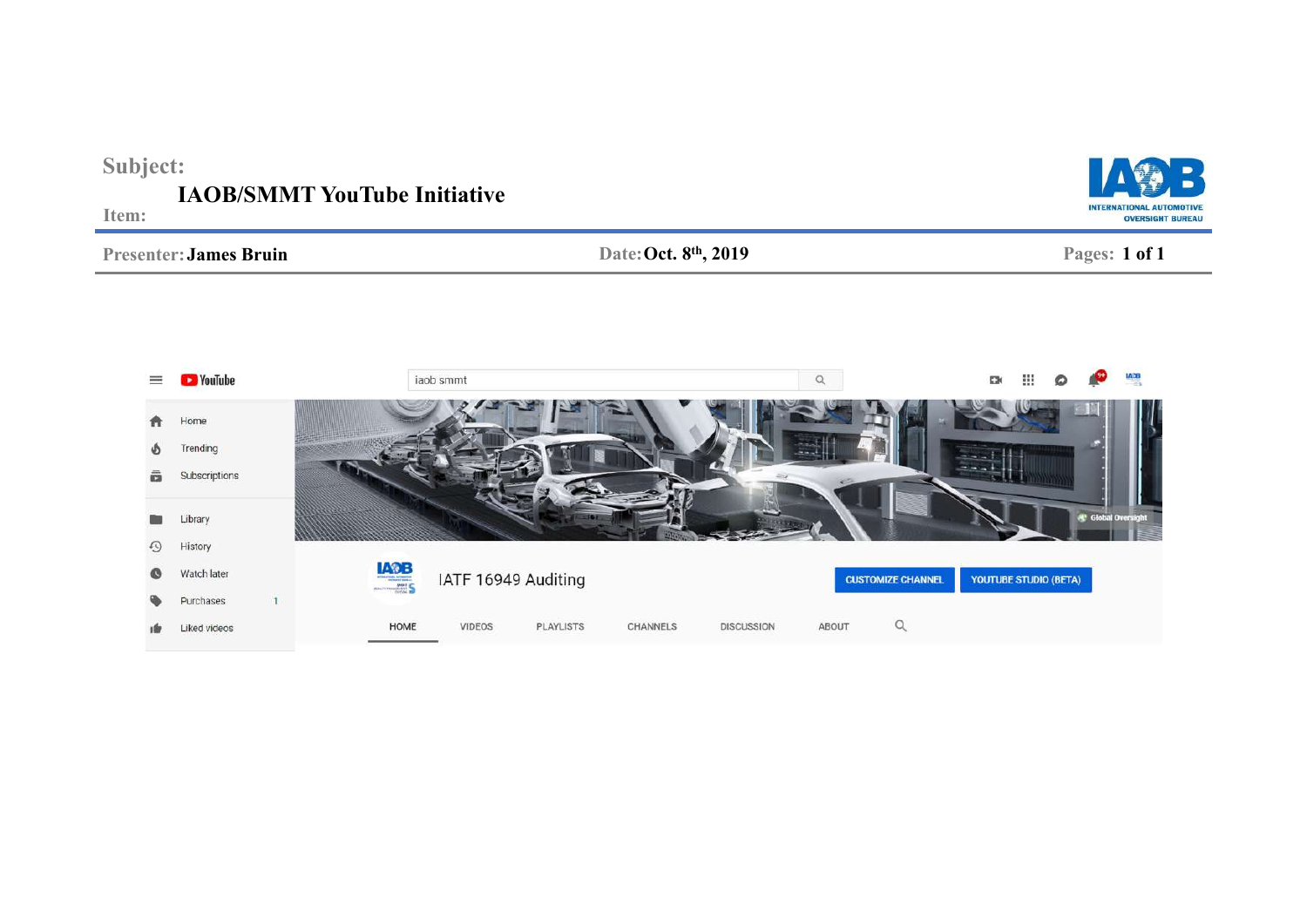| Subject:<br><b>IAOB/SMMT YouTube Initiative</b><br><b>INTERNATIONAL AUTOMOTIVE</b><br>Item:<br><b>OVERSIGHT BUREAU</b> |                                     |             |                     |                      |                          |                              |                               |             |
|------------------------------------------------------------------------------------------------------------------------|-------------------------------------|-------------|---------------------|----------------------|--------------------------|------------------------------|-------------------------------|-------------|
|                                                                                                                        | <b>Presenter: James Bruin</b>       |             |                     | Date: Oct. 8th, 2019 |                          |                              | Pages: 1 of 1                 |             |
| $\equiv$                                                                                                               | <b>CO</b> YouTube                   |             | iaob smmt           | $\alpha$             |                          | ₩<br>E34                     | ຂ                             | <b>IANB</b> |
| n<br>ወነ                                                                                                                | Home<br>Trending                    |             |                     |                      |                          |                              |                               |             |
| â<br>⊕                                                                                                                 | Subscriptions<br>Library<br>History |             |                     |                      |                          |                              | <sup>4</sup> Global Oversight |             |
|                                                                                                                        | Watch later<br>$n_{\rm{scat}}$      | <b>IADB</b> | IATF 16949 Auditing |                      | <b>CUSTOMIZE CHANNEL</b> | <b>YOUTUBE STUDIO (BETA)</b> |                               |             |

CHANNELS

 $\hbox{\tt Q}$ 

ABOUT

**DISCUSSION** 

Purchases

Liked videos

 $10x$ 

 $\overline{1}$ 

HOME

VIDEOS

PLAYLISTS